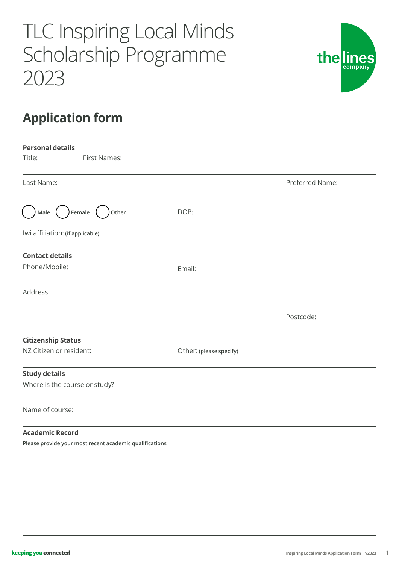# TLC Inspiring Local Minds Scholarship Programme 2023



## **Application form**

| <b>Personal details</b>          |                         |                 |
|----------------------------------|-------------------------|-----------------|
| Title:<br><b>First Names:</b>    |                         |                 |
| Last Name:                       |                         | Preferred Name: |
| Male<br>Female<br>Other          | DOB:                    |                 |
| Iwi affiliation: (if applicable) |                         |                 |
| <b>Contact details</b>           |                         |                 |
| Phone/Mobile:                    | Email:                  |                 |
| Address:                         |                         |                 |
|                                  |                         | Postcode:       |
| <b>Citizenship Status</b>        |                         |                 |
| NZ Citizen or resident:          | Other: (please specify) |                 |
| <b>Study details</b>             |                         |                 |
| Where is the course or study?    |                         |                 |
| Name of course:                  |                         |                 |
| <b>Academic Record</b>           |                         |                 |

**Please provide your most recent academic qualifications**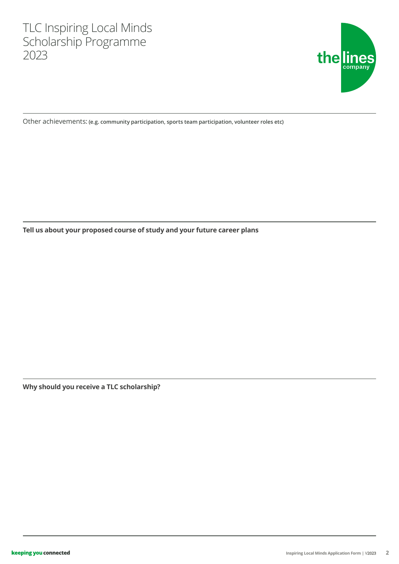

Other achievements: **(e.g. community participation, sports team participation, volunteer roles etc)**

**Tell us about your proposed course of study and your future career plans**

**Why should you receive a TLC scholarship?**